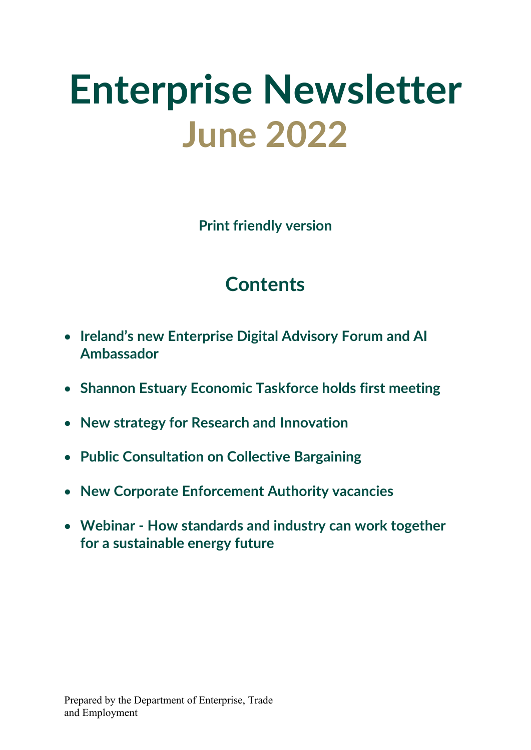# **Enterprise Newsletter June 2022**

**Print friendly version**

# **Contents**

- **Ireland's new Enterprise Digital Advisory Forum and AI Ambassador**
- **Shannon Estuary Economic Taskforce holds first meeting**
- **New strategy for Research and Innovation**
- **Public Consultation on Collective Bargaining**
- **New Corporate Enforcement Authority vacancies**
- **Webinar - How standards and industry can work together for a sustainable energy future**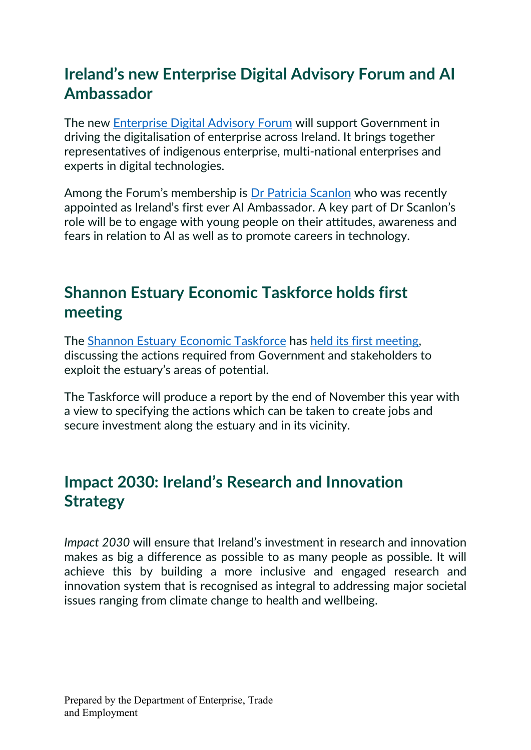### **Ireland's new Enterprise Digital Advisory Forum and AI Ambassador**

The new [Enterprise Digital Advisory Forum](https://www.enterprise.gov.ie/en/News-And-Events/Department-News/2022/May/04052022b.html) will support Government in driving the digitalisation of enterprise across Ireland. It brings together representatives of indigenous enterprise, multi-national enterprises and experts in digital technologies.

Among the Forum's membership is [Dr Patricia Scanlon](https://www.enterprise.gov.ie/en/News-And-Events/Department-News/2022/May/202205102.html) who was recently appointed as Ireland's first ever AI Ambassador. A key part of Dr Scanlon's role will be to engage with young people on their attitudes, awareness and fears in relation to AI as well as to promote careers in technology.

#### **Shannon Estuary Economic Taskforce holds first meeting**

The [Shannon Estuary Economic Taskforce](https://www.enterprise.gov.ie/en/News-And-Events/Department-News/2022/February/22022022a.html) has [held its first meeting,](https://www.enterprise.gov.ie/en/News-And-Events/Department-News/2022/May/202206051.html) discussing the actions required from Government and stakeholders to exploit the estuary's areas of potential.

The Taskforce will produce a report by the end of November this year with a view to specifying the actions which can be taken to create jobs and secure investment along the estuary and in its vicinity.

## **Impact 2030: Ireland's Research and Innovation Strategy**

*Impact 2030* will ensure that Ireland's investment in research and innovation makes as big a difference as possible to as many people as possible. It will achieve this by building a more inclusive and engaged research and innovation system that is recognised as integral to addressing major societal issues ranging from climate change to health and wellbeing.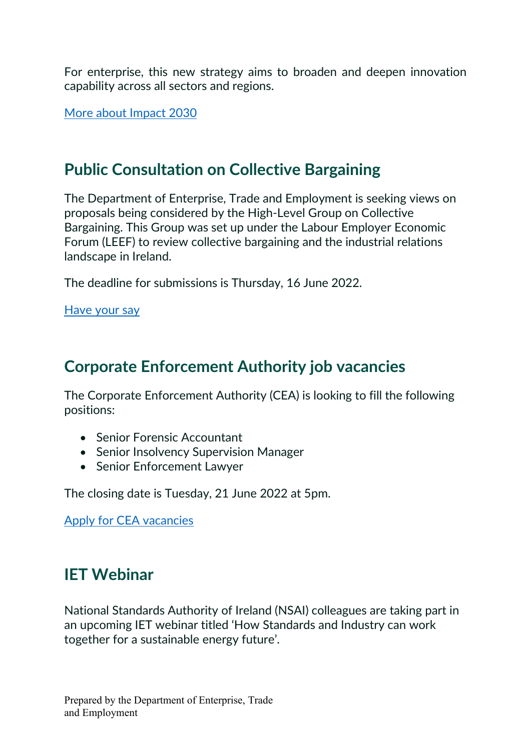For enterprise, this new strategy aims to broaden and deepen innovation capability across all sectors and regions.

[More about Impact 2030](https://www.gov.ie/en/press-release/18f45-minister-harris-launches-impact-2030-irelands-new-research-and-innovation-strategy/)

#### **Public Consultation on Collective Bargaining**

The Department of Enterprise, Trade and Employment is seeking views on proposals being considered by the High-Level Group on Collective Bargaining. This Group was set up under the Labour Employer Economic Forum (LEEF) to review collective bargaining and the industrial relations landscape in Ireland.

The deadline for submissions is Thursday, 16 June 2022.

[Have your say](https://enterprise.gov.ie/en/Consultations/Public-consultation-on-Collective-Bargaining.html)

#### **Corporate Enforcement Authority job vacancies**

The Corporate Enforcement Authority (CEA) is looking to fill the following positions:

- Senior Forensic Accountant
- Senior Insolvency Supervision Manager
- Senior Enforcement Lawyer

The closing date is Tuesday, 21 June 2022 at 5pm.

[Apply for CEA vacancies](https://osborne.ie/cea-employment-opportunities/)

#### **IET Webinar**

National Standards Authority of Ireland (NSAI) colleagues are taking part in an upcoming IET webinar titled 'How Standards and Industry can work together for a sustainable energy future'.